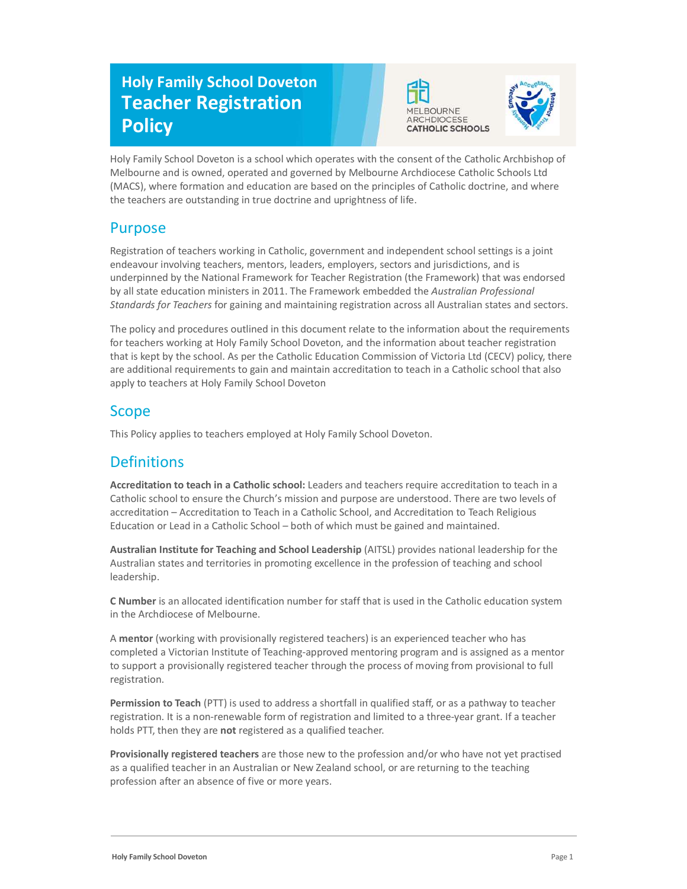# Holy Family School Doveton Teacher Registration **Policy**





Holy Family School Doveton is a school which operates with the consent of the Catholic Archbishop of Melbourne and is owned, operated and governed by Melbourne Archdiocese Catholic Schools Ltd (MACS), where formation and education are based on the principles of Catholic doctrine, and where the teachers are outstanding in true doctrine and uprightness of life.

### Purpose

Registration of teachers working in Catholic, government and independent school settings is a joint endeavour involving teachers, mentors, leaders, employers, sectors and jurisdictions, and is underpinned by the National Framework for Teacher Registration (the Framework) that was endorsed by all state education ministers in 2011. The Framework embedded the Australian Professional Standards for Teachers for gaining and maintaining registration across all Australian states and sectors.

The policy and procedures outlined in this document relate to the information about the requirements for teachers working at Holy Family School Doveton, and the information about teacher registration that is kept by the school. As per the Catholic Education Commission of Victoria Ltd (CECV) policy, there are additional requirements to gain and maintain accreditation to teach in a Catholic school that also apply to teachers at Holy Family School Doveton

## Scope

This Policy applies to teachers employed at Holy Family School Doveton.

# **Definitions**

Accreditation to teach in a Catholic school: Leaders and teachers require accreditation to teach in a Catholic school to ensure the Church's mission and purpose are understood. There are two levels of accreditation – Accreditation to Teach in a Catholic School, and Accreditation to Teach Religious Education or Lead in a Catholic School – both of which must be gained and maintained.

Australian Institute for Teaching and School Leadership (AITSL) provides national leadership for the Australian states and territories in promoting excellence in the profession of teaching and school leadership.

C Number is an allocated identification number for staff that is used in the Catholic education system in the Archdiocese of Melbourne.

A mentor (working with provisionally registered teachers) is an experienced teacher who has completed a Victorian Institute of Teaching-approved mentoring program and is assigned as a mentor to support a provisionally registered teacher through the process of moving from provisional to full registration.

Permission to Teach (PTT) is used to address a shortfall in qualified staff, or as a pathway to teacher registration. It is a non-renewable form of registration and limited to a three-year grant. If a teacher holds PTT, then they are not registered as a qualified teacher.

Provisionally registered teachers are those new to the profession and/or who have not yet practised as a qualified teacher in an Australian or New Zealand school, or are returning to the teaching profession after an absence of five or more years.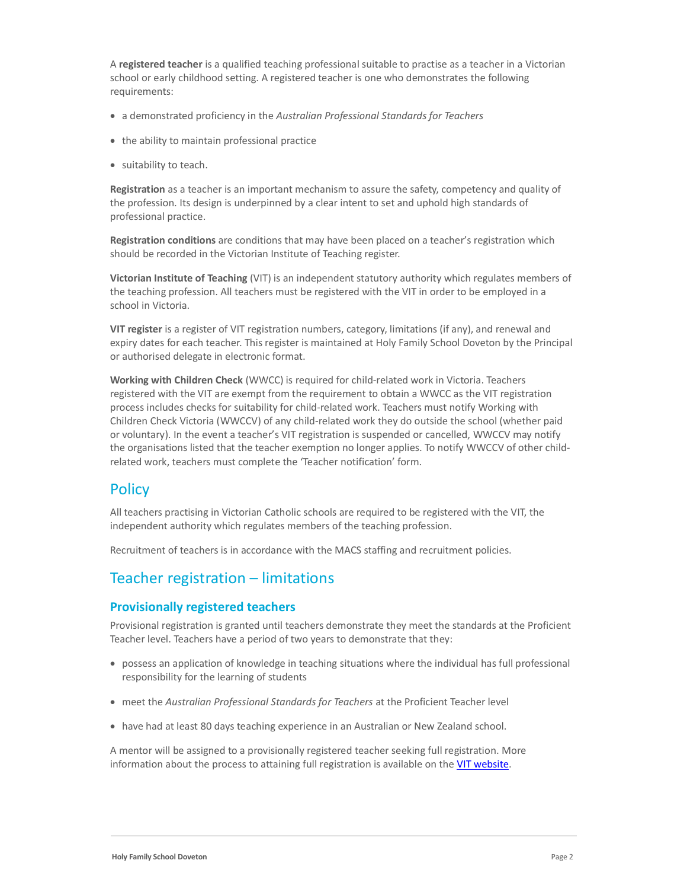A registered teacher is a qualified teaching professional suitable to practise as a teacher in a Victorian school or early childhood setting. A registered teacher is one who demonstrates the following requirements:

- a demonstrated proficiency in the Australian Professional Standards for Teachers
- the ability to maintain professional practice
- suitability to teach.

Registration as a teacher is an important mechanism to assure the safety, competency and quality of the profession. Its design is underpinned by a clear intent to set and uphold high standards of professional practice.

Registration conditions are conditions that may have been placed on a teacher's registration which should be recorded in the Victorian Institute of Teaching register.

Victorian Institute of Teaching (VIT) is an independent statutory authority which regulates members of the teaching profession. All teachers must be registered with the VIT in order to be employed in a school in Victoria.

VIT register is a register of VIT registration numbers, category, limitations (if any), and renewal and expiry dates for each teacher. This register is maintained at Holy Family School Doveton by the Principal or authorised delegate in electronic format.

Working with Children Check (WWCC) is required for child-related work in Victoria. Teachers registered with the VIT are exempt from the requirement to obtain a WWCC as the VIT registration process includes checks for suitability for child-related work. Teachers must notify Working with Children Check Victoria (WWCCV) of any child-related work they do outside the school (whether paid or voluntary). In the event a teacher's VIT registration is suspended or cancelled, WWCCV may notify the organisations listed that the teacher exemption no longer applies. To notify WWCCV of other childrelated work, teachers must complete the 'Teacher notification' form.

### **Policy**

All teachers practising in Victorian Catholic schools are required to be registered with the VIT, the independent authority which regulates members of the teaching profession.

Recruitment of teachers is in accordance with the MACS staffing and recruitment policies.

### Teacher registration – limitations

#### Provisionally registered teachers

Provisional registration is granted until teachers demonstrate they meet the standards at the Proficient Teacher level. Teachers have a period of two years to demonstrate that they:

- possess an application of knowledge in teaching situations where the individual has full professional responsibility for the learning of students
- meet the Australian Professional Standards for Teachers at the Proficient Teacher level
- have had at least 80 days teaching experience in an Australian or New Zealand school.

A mentor will be assigned to a provisionally registered teacher seeking full registration. More information about the process to attaining full registration is available on the VIT website.